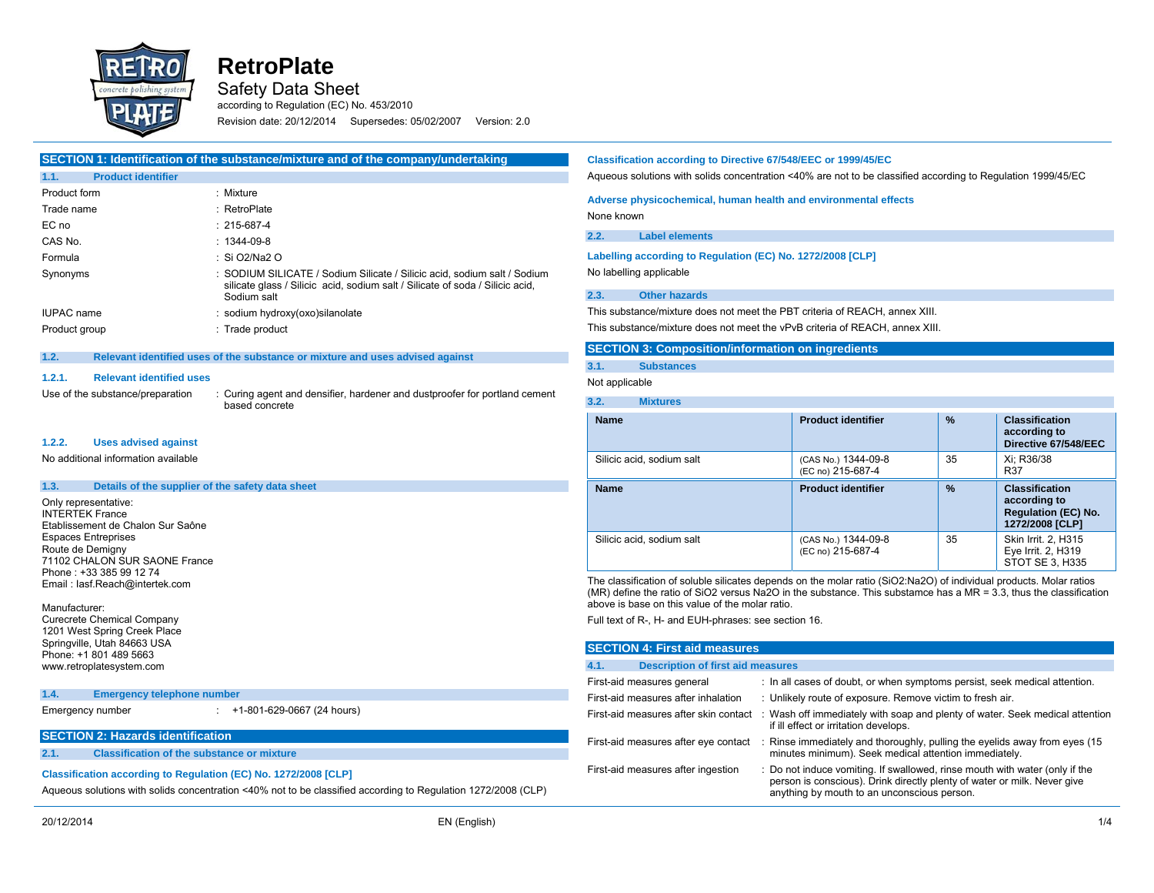

Safety Data Sheet

according to Regulation (EC) No. 453/2010 Revision date: 20/12/2014 Supersedes: 05/02/2007 Version: 2.0

# **SECTION 1: Identification of the substance/mixture and of the company/undertaking**

| 1.1.<br><b>Product identifier</b> |                                                                                                                                                                          |
|-----------------------------------|--------------------------------------------------------------------------------------------------------------------------------------------------------------------------|
| Product form                      | : Mixture                                                                                                                                                                |
| Trade name                        | : RetroPlate                                                                                                                                                             |
| EC no                             | $: 215 - 687 - 4$                                                                                                                                                        |
| CAS No.                           | : 1344-09-8                                                                                                                                                              |
| Formula                           | : Si O2/Na2 O                                                                                                                                                            |
| Synonyms                          | : SODIUM SILICATE / Sodium Silicate / Silicic acid, sodium salt / Sodium<br>silicate glass / Silicic acid, sodium salt / Silicate of soda / Silicic acid,<br>Sodium salt |
| IUPAC name                        | : sodium hydroxy(oxo) silanolate                                                                                                                                         |
| Product group                     | : Trade product                                                                                                                                                          |
|                                   |                                                                                                                                                                          |

#### **1.2. Relevant identified uses of the substance or mixture and uses advised against**

#### **1.2.1. Relevant identified uses**

Use of the substance/preparation : Curing agent and densifier, hardener and dustproofer for portland ceme based concrete

#### **1.2.2. Uses advised against**

No additional information available

### **1.3. Details of the supplier of the safety data sheet**

Only representative: INTERTEK France Etablissement de Chalon Sur Saône Espaces Entreprises Route de Demigny 71102 CHALON SUR SAONE France Phone : +33 385 99 12 74 Email : Iasf.Reach@intertek.com

#### Manufacturer:

Curecrete Chemical Company 1201 West Spring Creek Place Springville, Utah 84663 USA Phone: +1 801 489 5663 www.retroplatesystem.com

#### **1.4. Emergency telephone number**

# Emergency number : +1-801-629-0667 (24 hours)

## **SECTION 2: Hazards identification**

**2.1. Classification of the substance or mixture** 

## **Classification according to Regulation (EC) No. 1272/2008 [CLP]**

Aqueous solutions with solids concentration <40% not to be classified according to Regulation 1272/2008 (CLP)

## **Classification according to Directive 67/548/EEC or 1999/45/EC**

Aqueous solutions with solids concentration <40% are not to be classified according to Regulation 1999/45/EC

## **Adverse physicochemical, human health and environmental effects**

None known

## **2.2. Label elements**

**Labelling according to Regulation (EC) No. 1272/2008 [CLP]**  No labelling applicable

#### **2.3. Other hazards**

This substance/mixture does not meet the PBT criteria of REACH, annex XIII.

This substance/mixture does not meet the vPvB criteria of REACH, annex XIII.

## **SECTION 3: Composition/information on ingredients**

## **3.1. Substances**

```
Not applicable
```

| <b>Name</b>               | <b>Product identifier</b>                | %  | <b>Classification</b><br>according to<br>Directive 67/548/EEC                          |
|---------------------------|------------------------------------------|----|----------------------------------------------------------------------------------------|
| Silicic acid, sodium salt | (CAS No.) 1344-09-8<br>(EC no) 215-687-4 | 35 | Xi: R36/38<br><b>R37</b>                                                               |
| <b>Name</b>               | <b>Product identifier</b>                | %  | <b>Classification</b><br>according to<br><b>Regulation (EC) No.</b><br>1272/2008 [CLP] |
| Silicic acid, sodium salt | (CAS No.) 1344-09-8<br>(EC no) 215-687-4 | 35 | Skin Irrit. 2, H315<br>Eye Irrit. 2, H319<br>STOT SE 3, H335                           |

The classification of soluble silicates depends on the molar ratio (SiO2:Na2O) of individual products. Molar ratios (MR) define the ratio of SiO2 versus Na2O in the substance. This substamce has a MR = 3.3, thus the classification above is base on this value of the molar ratio.

Full text of R-, H- and EUH-phrases: see section 16.

## **SECTION 4: First aid measures**

| <b>Description of first aid measures</b><br>4.1. |                                                                                                                                                                                                        |  |
|--------------------------------------------------|--------------------------------------------------------------------------------------------------------------------------------------------------------------------------------------------------------|--|
| First-aid measures general                       | : In all cases of doubt, or when symptoms persist, seek medical attention.                                                                                                                             |  |
| First-aid measures after inhalation              | : Unlikely route of exposure. Remove victim to fresh air.                                                                                                                                              |  |
| First-aid measures after skin contact            | : Wash off immediately with soap and plenty of water. Seek medical attention<br>if ill effect or irritation develops.                                                                                  |  |
| First-aid measures after eye contact             | : Rinse immediately and thoroughly, pulling the eyelids away from eyes (15)<br>minutes minimum). Seek medical attention immediately.                                                                   |  |
| First-aid measures after ingestion               | : Do not induce vomiting. If swallowed, rinse mouth with water (only if the<br>person is conscious). Drink directly plenty of water or milk. Never give<br>anything by mouth to an unconscious person. |  |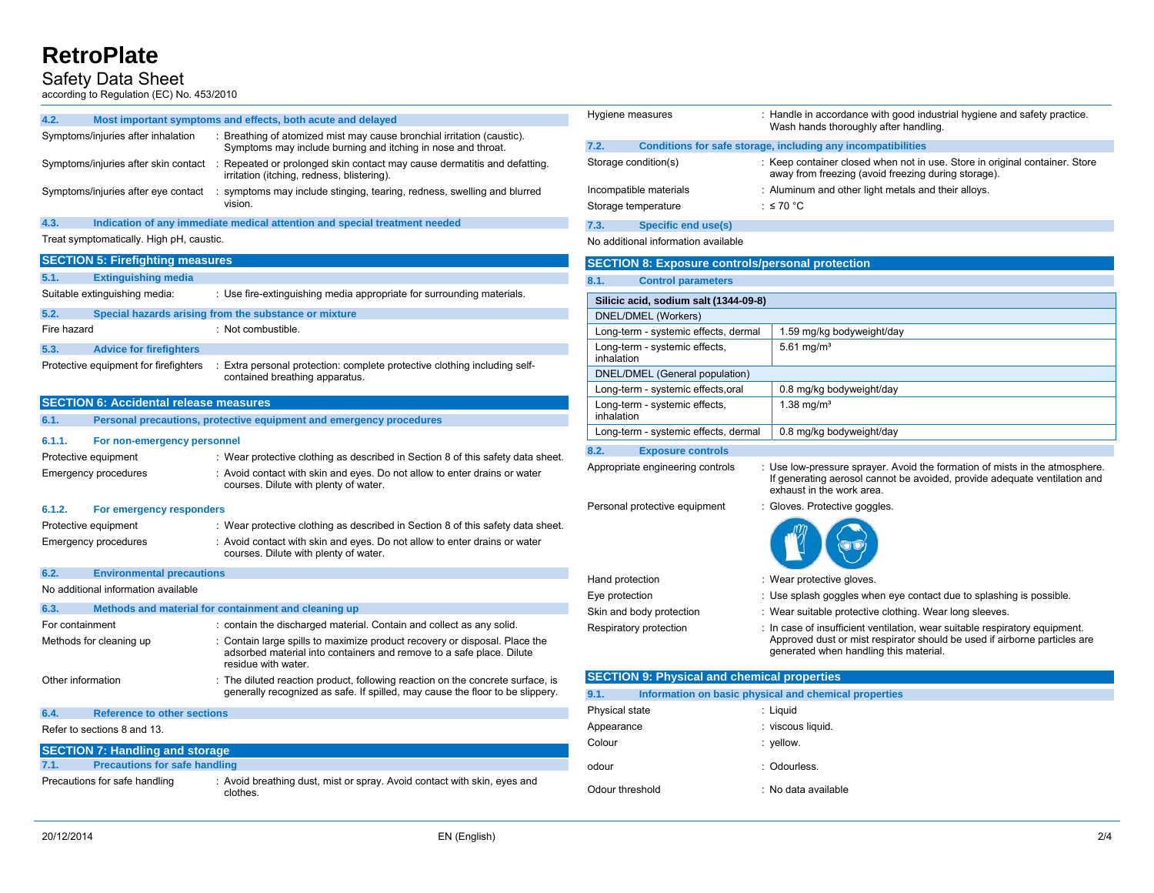## Safety Data Sheet

according to Regulation (EC) No. 453/2010

| 4.2. |  | Most important symptoms and effects, both acute and delayed |
|------|--|-------------------------------------------------------------|
|      |  |                                                             |

| Symptoms/injuries after inhalation   | : Breathing of atomized mist may cause bronchial irritation (caustic).<br>Symptoms may include burning and itching in nose and throat. |
|--------------------------------------|----------------------------------------------------------------------------------------------------------------------------------------|
| Symptoms/injuries after skin contact | Repeated or prolonged skin contact may cause dermatitis and defatting.<br>irritation (itching, redness, blistering).                   |
| Symptoms/injuries after eye contact  | symptoms may include stinging, tearing, redness, swelling and blurred<br>vision.                                                       |

### **4.3. Indication of any immediate medical attention and special treatment needed**

Treat symptomatically. High pH, caustic.

#### **SECTION 5: Firefighting measures**

| 5.1. |  | <b>Extinguishing media</b> |  |
|------|--|----------------------------|--|
|      |  |                            |  |

| Suitable extinguishing media: | : Use fire-extinguishing media appropriate for surrounding materials. |
|-------------------------------|-----------------------------------------------------------------------|
|                               |                                                                       |

| 5.2.        |                                | Special hazards arising from the substance or mixture |
|-------------|--------------------------------|-------------------------------------------------------|
| Fire hazard |                                | : Not combustible.                                    |
| 5.3.        | <b>Advice for firefighters</b> |                                                       |

Protective equipment for firefighters : Extra personal protection: complete protective clothing including self-

contained breathing apparatus.

#### **SECTION 6: Accidental release measures**

| 6.1.                 | Personal precautions, protective equipment and emergency procedures |                                                                                                                                                                           |  |
|----------------------|---------------------------------------------------------------------|---------------------------------------------------------------------------------------------------------------------------------------------------------------------------|--|
| 6.1.1.               | For non-emergency personnel                                         |                                                                                                                                                                           |  |
| Protective equipment |                                                                     | : Wear protective clothing as described in Section 8 of this safety data sheet.                                                                                           |  |
|                      | Emergency procedures                                                | : Avoid contact with skin and eyes. Do not allow to enter drains or water<br>courses. Dilute with plenty of water.                                                        |  |
| 6.1.2.               | For emergency responders                                            |                                                                                                                                                                           |  |
| Protective equipment |                                                                     | : Wear protective clothing as described in Section 8 of this safety data sheet.                                                                                           |  |
|                      | Emergency procedures                                                | : Avoid contact with skin and eyes. Do not allow to enter drains or water<br>courses. Dilute with plenty of water.                                                        |  |
| 6.2.                 | <b>Environmental precautions</b>                                    |                                                                                                                                                                           |  |
|                      | No additional information available                                 |                                                                                                                                                                           |  |
| 6.3.                 |                                                                     | Methods and material for containment and cleaning up                                                                                                                      |  |
| For containment      |                                                                     | : contain the discharged material. Contain and collect as any solid.                                                                                                      |  |
|                      | Methods for cleaning up                                             | : Contain large spills to maximize product recovery or disposal. Place the<br>adsorbed material into containers and remove to a safe place. Dilute<br>residue with water. |  |
| Other information    |                                                                     | : The diluted reaction product, following reaction on the concrete surface, is                                                                                            |  |

#### **6.4. Reference to other sections**

Refer to sections 8 and 13.

## **SECTION 7: Handling and storage 7.1. Precautions for safe handling**  Precautions for safe handling : Avoid breathing dust, mist or spray. Avoid contact with skin, eyes and clothes.

| Hygiene measures                    | : Handle in accordance with good industrial hygiene and safety practice.<br>Wash hands thoroughly after handling.                  |
|-------------------------------------|------------------------------------------------------------------------------------------------------------------------------------|
| 7.2.                                | Conditions for safe storage, including any incompatibilities                                                                       |
| Storage condition(s)                | : Keep container closed when not in use. Store in original container. Store<br>away from freezing (avoid freezing during storage). |
| Incompatible materials              | : Aluminum and other light metals and their alloys.                                                                                |
| Storage temperature                 | : $\leq 70$ °C                                                                                                                     |
| Specific end use(s)<br>7.3.         |                                                                                                                                    |
| No additional information available |                                                                                                                                    |

| <b>SECTION 8: Exposure controls/personal protection</b> |                           |  |
|---------------------------------------------------------|---------------------------|--|
| 8.1.<br><b>Control parameters</b>                       |                           |  |
| Silicic acid. sodium salt (1344-09-8)                   |                           |  |
| DNEL/DMEL (Workers)                                     |                           |  |
| Long-term - systemic effects, dermal                    | 1.59 mg/kg bodyweight/day |  |
| Long-term - systemic effects,<br>inhalation             | 5.61 mg/m <sup>3</sup>    |  |
| DNEL/DMEL (General population)                          |                           |  |
| Long-term - systemic effects, oral                      | 0.8 mg/kg bodyweight/day  |  |
| Long-term - systemic effects,<br>inhalation             | 1.38 mg/m <sup>3</sup>    |  |
| Long-term - systemic effects, dermal                    | 0.8 mg/kg bodyweight/day  |  |

#### **8.2. Exposure controls**

Appropriate engineering controls : Use low-pressure sprayer. Avoid the formation of mists in the atmosphere. If generating aerosol cannot be avoided, provide adequate ventilation and exhaust in the work area.

Personal protective equipment : Gloves. Protective goggles.



- Hand protection **in the case of the Hand protective gloves**.
- Eye protection : Use splash goggles when eye contact due to splashing is possible.
- Skin and body protection : Wear suitable protective clothing. Wear long sleeves.
- Respiratory protection : In case of insufficient ventilation, wear suitable respiratory equipment. Approved dust or mist respirator should be used if airborne particles are generated when handling this material.

| <b>SECTION 9: Physical and chemical properties</b> |                                                       |  |  |
|----------------------------------------------------|-------------------------------------------------------|--|--|
| 9.1.                                               | Information on basic physical and chemical properties |  |  |
| Physical state                                     | : Liguid                                              |  |  |
| Appearance                                         | : viscous liquid.                                     |  |  |
| Colour                                             | : yellow.                                             |  |  |
| odour                                              | : Odourless.                                          |  |  |
| Odour threshold                                    | : No data available                                   |  |  |
|                                                    |                                                       |  |  |

generally recognized as safe. If spilled, may cause the floor to be slippery.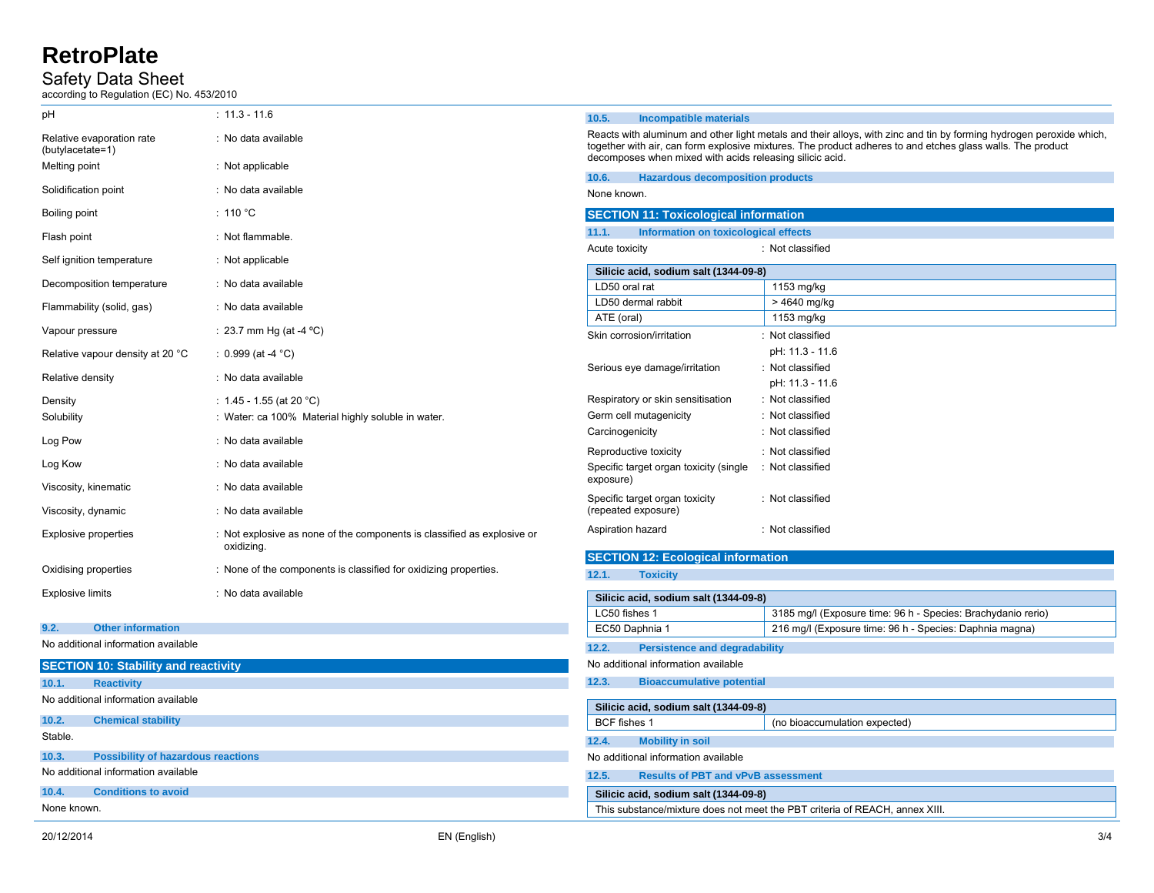# Safety Data Sheet

according to Regulation (EC) No. 453/2010

| pH                                                 | $: 11.3 - 11.6$                                                                       | 10.5.<br><b>Incompatible materials</b>                                                                                                                                                                                            |                                                                                                                         |  |
|----------------------------------------------------|---------------------------------------------------------------------------------------|-----------------------------------------------------------------------------------------------------------------------------------------------------------------------------------------------------------------------------------|-------------------------------------------------------------------------------------------------------------------------|--|
| Relative evaporation rate<br>(butylacetate=1)      | : No data available                                                                   | Reacts with aluminum and other light metals and their alloys, with zinc and tin by forming hydrogen peroxide which,<br>together with air, can form explosive mixtures. The product adheres to and etches glass walls. The product |                                                                                                                         |  |
| Melting point                                      | : Not applicable                                                                      | decomposes when mixed with acids releasing silicic acid.                                                                                                                                                                          |                                                                                                                         |  |
| Solidification point                               | : No data available                                                                   | 10.6.<br><b>Hazardous decomposition products</b>                                                                                                                                                                                  |                                                                                                                         |  |
|                                                    |                                                                                       | None known.                                                                                                                                                                                                                       |                                                                                                                         |  |
| Boiling point                                      | : 110 °C                                                                              | <b>SECTION 11: Toxicological information</b>                                                                                                                                                                                      |                                                                                                                         |  |
| Flash point                                        | : Not flammable.                                                                      | 11.1.<br>Information on toxicological effects                                                                                                                                                                                     |                                                                                                                         |  |
| Self ignition temperature                          | : Not applicable                                                                      | Acute toxicity<br>: Not classified                                                                                                                                                                                                |                                                                                                                         |  |
| Decomposition temperature                          | : No data available                                                                   | Silicic acid, sodium salt (1344-09-8)<br>LD50 oral rat                                                                                                                                                                            | 1153 mg/kg                                                                                                              |  |
| Flammability (solid, gas)                          | : No data available                                                                   | LD50 dermal rabbit                                                                                                                                                                                                                | > 4640 mg/kg                                                                                                            |  |
| Vapour pressure                                    | : 23.7 mm Hg (at -4 $^{\circ}$ C)                                                     | ATE (oral)                                                                                                                                                                                                                        | 1153 mg/kg                                                                                                              |  |
|                                                    |                                                                                       | Skin corrosion/irritation                                                                                                                                                                                                         | : Not classified                                                                                                        |  |
| Relative vapour density at 20 °C                   | : $0.999$ (at -4 °C)                                                                  |                                                                                                                                                                                                                                   | pH: 11.3 - 11.6                                                                                                         |  |
| Relative density                                   | : No data available                                                                   | Serious eye damage/irritation                                                                                                                                                                                                     | : Not classified<br>pH: 11.3 - 11.6                                                                                     |  |
|                                                    |                                                                                       | Respiratory or skin sensitisation                                                                                                                                                                                                 | : Not classified                                                                                                        |  |
| Density<br>Solubility                              | : 1.45 - 1.55 (at 20 °C)<br>: Water: ca 100% Material highly soluble in water.        | Germ cell mutagenicity                                                                                                                                                                                                            | : Not classified                                                                                                        |  |
| Log Pow                                            | : No data available                                                                   | Carcinogenicity                                                                                                                                                                                                                   | : Not classified                                                                                                        |  |
|                                                    |                                                                                       | Reproductive toxicity                                                                                                                                                                                                             | : Not classified                                                                                                        |  |
| Log Kow                                            | : No data available                                                                   | Specific target organ toxicity (single                                                                                                                                                                                            | : Not classified                                                                                                        |  |
| Viscosity, kinematic                               | : No data available                                                                   | exposure)                                                                                                                                                                                                                         |                                                                                                                         |  |
| Viscosity, dynamic                                 | : No data available                                                                   | Specific target organ toxicity<br>(repeated exposure)                                                                                                                                                                             | : Not classified                                                                                                        |  |
| <b>Explosive properties</b>                        | : Not explosive as none of the components is classified as explosive or<br>oxidizing. | Aspiration hazard                                                                                                                                                                                                                 | : Not classified                                                                                                        |  |
|                                                    |                                                                                       |                                                                                                                                                                                                                                   |                                                                                                                         |  |
| Oxidising properties                               | : None of the components is classified for oxidizing properties.                      | <b>SECTION 12: Ecological information</b><br>12.1.<br><b>Toxicity</b>                                                                                                                                                             |                                                                                                                         |  |
| <b>Explosive limits</b>                            | : No data available                                                                   |                                                                                                                                                                                                                                   |                                                                                                                         |  |
|                                                    |                                                                                       | Silicic acid, sodium salt (1344-09-8)                                                                                                                                                                                             |                                                                                                                         |  |
| 9.2.<br><b>Other information</b>                   |                                                                                       | LC50 fishes 1<br>EC50 Daphnia 1                                                                                                                                                                                                   | 3185 mg/l (Exposure time: 96 h - Species: Brachydanio rerio)<br>216 mg/l (Exposure time: 96 h - Species: Daphnia magna) |  |
| No additional information available                |                                                                                       |                                                                                                                                                                                                                                   |                                                                                                                         |  |
|                                                    |                                                                                       | 12.2.<br><b>Persistence and degradability</b><br>No additional information available                                                                                                                                              |                                                                                                                         |  |
| <b>SECTION 10: Stability and reactivity</b>        |                                                                                       |                                                                                                                                                                                                                                   |                                                                                                                         |  |
| 10.1.<br><b>Reactivity</b>                         |                                                                                       | 12.3.<br><b>Bioaccumulative potential</b>                                                                                                                                                                                         |                                                                                                                         |  |
| No additional information available                |                                                                                       | Silicic acid, sodium salt (1344-09-8)                                                                                                                                                                                             |                                                                                                                         |  |
| 10.2.<br><b>Chemical stability</b>                 |                                                                                       | BCF fishes 1                                                                                                                                                                                                                      | (no bioaccumulation expected)                                                                                           |  |
| Stable.                                            |                                                                                       | <b>Mobility in soil</b><br>12.4.                                                                                                                                                                                                  |                                                                                                                         |  |
| 10.3.<br><b>Possibility of hazardous reactions</b> |                                                                                       | No additional information available                                                                                                                                                                                               |                                                                                                                         |  |
| No additional information available                |                                                                                       | 12.5.<br><b>Results of PBT and vPvB assessment</b>                                                                                                                                                                                |                                                                                                                         |  |
| <b>Conditions to avoid</b><br>10.4.                |                                                                                       | Silicic acid, sodium salt (1344-09-8)                                                                                                                                                                                             |                                                                                                                         |  |
| None known.                                        |                                                                                       | This substance/mixture does not meet the PBT criteria of REACH, annex XIII.                                                                                                                                                       |                                                                                                                         |  |